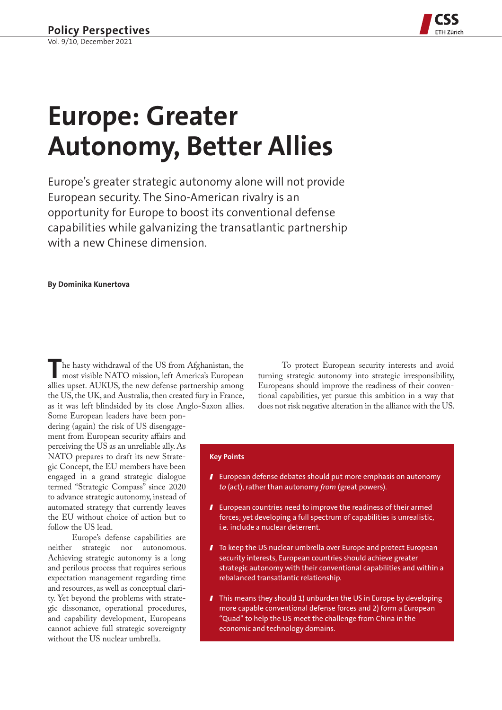

# **Europe: Greater Autonomy, Better Allies**

Europe's greater strategic autonomy alone will not provide European security. The Sino-American rivalry is an opportunity for Europe to boost its conventional defense capabilities while galvanizing the transatlantic partnership with a new Chinese dimension.

# **By Dominika Kunertova**

The hasty withdrawal of the US from Afghanistan, the most visible NATO mission, left America's European allies upset. AUKUS, the new defense partnership among the US, the UK, and Australia, then created fury in France, as it was left blindsided by its close Anglo-Saxon allies.

Some European leaders have been pondering (again) the risk of US disengagement from European security affairs and perceiving the US as an unreliable ally. As NATO prepares to draft its new Strategic Concept, the EU members have been engaged in a grand strategic dialogue termed "Strategic Compass" since 2020 to advance strategic autonomy, instead of automated strategy that currently leaves the EU without choice of action but to follow the US lead.

Europe's defense capabilities are neither strategic nor autonomous. Achieving strategic autonomy is a long and perilous process that requires serious expectation management regarding time and resources, as well as conceptual clarity. Yet beyond the problems with strategic dissonance, operational procedures, and capability development, Europeans cannot achieve full strategic sovereignty without the US nuclear umbrella.

To protect European security interests and avoid turning strategic autonomy into strategic irresponsibility, Europeans should improve the readiness of their conventional capabilities, yet pursue this ambition in a way that does not risk negative alteration in the alliance with the US.

#### **Key Points**

- **I** European defense debates should put more emphasis on autonomy *to* (act), rather than autonomy *from* (great powers).
- **I** European countries need to improve the readiness of their armed forces; yet developing a full spectrum of capabilities is unrealistic, i.e. include a nuclear deterrent.
- I To keep the US nuclear umbrella over Europe and protect European security interests, European countries should achieve greater strategic autonomy with their conventional capabilities and within a rebalanced transatlantic relationship.
- **T** This means they should 1) unburden the US in Europe by developing more capable conventional defense forces and 2) form a European "Quad" to help the US meet the challenge from China in the economic and technology domains.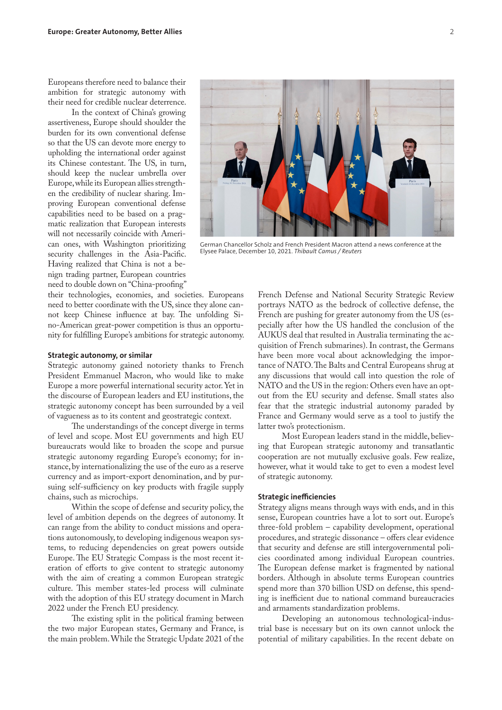Europeans therefore need to balance their ambition for strategic autonomy with their need for credible nuclear deterrence.

In the context of China's growing assertiveness, Europe should shoulder the burden for its own conventional defense so that the US can devote more energy to upholding the international order against its Chinese contestant. The US, in turn, should keep the nuclear umbrella over Europe, while its European allies strengthen the credibility of nuclear sharing. Improving European conventional defense capabilities need to be based on a pragmatic realization that European interests will not necessarily coincide with American ones, with Washington prioritizing security challenges in the Asia-Pacific. Having realized that China is not a benign trading partner, European countries need to double down on "China-proofing"

their technologies, economies, and societies. Europeans need to better coordinate with the US, since they alone cannot keep Chinese influence at bay. The unfolding Sino-American great-power competition is thus an opportunity for fulfilling Europe's ambitions for strategic autonomy.

#### **Strategic autonomy, or similar**

Strategic autonomy gained notoriety thanks to French President Emmanuel Macron, who would like to make Europe a more powerful international security actor. Yet in the discourse of European leaders and EU institutions, the strategic autonomy concept has been surrounded by a veil of vagueness as to its content and geostrategic context.

The understandings of the concept diverge in terms of level and scope. Most EU governments and high EU bureaucrats would like to broaden the scope and pursue strategic autonomy regarding Europe's economy; for instance, by internationalizing the use of the euro as a reserve currency and as import-export denomination, and by pursuing self-sufficiency on key products with fragile supply chains, such as microchips.

Within the scope of defense and security policy, the level of ambition depends on the degrees of autonomy. It can range from the ability to conduct missions and operations autonomously, to developing indigenous weapon systems, to reducing dependencies on great powers outside Europe. The EU Strategic Compass is the most recent iteration of efforts to give content to strategic autonomy with the aim of creating a common European strategic culture. This member states-led process will culminate with the adoption of this EU strategy document in March 2022 under the French EU presidency.

The existing split in the political framing between the two major European states, Germany and France, is the main problem. While the Strategic Update 2021 of the

German Chancellor Scholz and French President Macron attend a news conference at the

Elysee Palace, December 10, 2021. *Thibault Camus / Reuters*

French Defense and National Security Strategic Review portrays NATO as the bedrock of collective defense, the French are pushing for greater autonomy from the US (especially after how the US handled the conclusion of the AUKUS deal that resulted in Australia terminating the acquisition of French submarines). In contrast, the Germans have been more vocal about acknowledging the importance of NATO. The Balts and Central Europeans shrug at any discussions that would call into question the role of NATO and the US in the region: Others even have an optout from the EU security and defense. Small states also fear that the strategic industrial autonomy paraded by France and Germany would serve as a tool to justify the latter two's protectionism.

Most European leaders stand in the middle, believing that European strategic autonomy and transatlantic cooperation are not mutually exclusive goals. Few realize, however, what it would take to get to even a modest level of strategic autonomy.

#### **Strategic inefficiencies**

Strategy aligns means through ways with ends, and in this sense, European countries have a lot to sort out. Europe's three-fold problem – capability development, operational procedures, and strategic dissonance – offers clear evidence that security and defense are still intergovernmental policies coordinated among individual European countries. The European defense market is fragmented by national borders. Although in absolute terms European countries spend more than 370 billion USD on defense, this spending is inefficient due to national command bureaucracies and armaments standardization problems.

Developing an autonomous technological-industrial base is necessary but on its own cannot unlock the potential of military capabilities. In the recent debate on

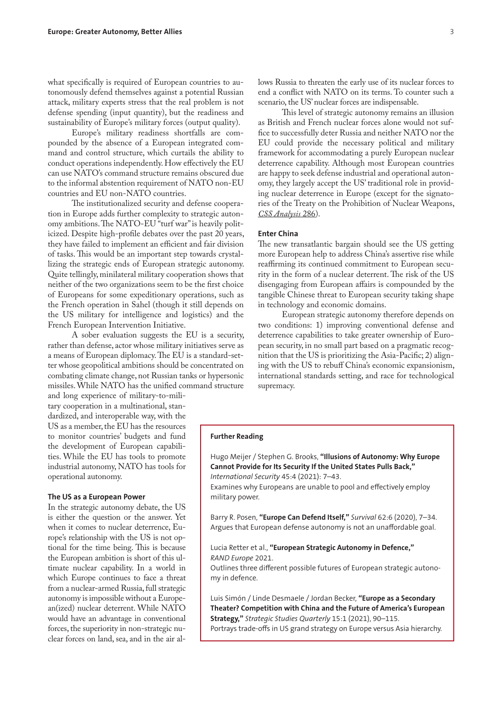what specifically is required of European countries to autonomously defend themselves against a potential Russian attack, military experts stress that the real problem is not defense spending (input quantity), but the readiness and sustainability of Europe's military forces (output quality).

Europe's military readiness shortfalls are compounded by the absence of a European integrated command and control structure, which curtails the ability to conduct operations independently. How effectively the EU can use NATO's command structure remains obscured due to the informal abstention requirement of NATO non-EU countries and EU non-NATO countries.

The institutionalized security and defense cooperation in Europe adds further complexity to strategic autonomy ambitions. The NATO-EU "turf war" is heavily politicized. Despite high-profile debates over the past 20 years, they have failed to implement an efficient and fair division of tasks. This would be an important step towards crystallizing the strategic ends of European strategic autonomy. Quite tellingly, minilateral military cooperation shows that neither of the two organizations seem to be the first choice of Europeans for some expeditionary operations, such as the French operation in Sahel (though it still depends on the US military for intelligence and logistics) and the French European Intervention Initiative.

A sober evaluation suggests the EU is a security, rather than defense, actor whose military initiatives serve as a means of European diplomacy. The EU is a standard-setter whose geopolitical ambitions should be concentrated on combating climate change, not Russian tanks or hypersonic missiles. While NATO has the unified command structure

and long experience of military-to-military cooperation in a multinational, standardized, and interoperable way, with the US as a member, the EU has the resources to monitor countries' budgets and fund the development of European capabilities. While the EU has tools to promote industrial autonomy, NATO has tools for operational autonomy.

#### **The US as a European Power**

In the strategic autonomy debate, the US is either the question or the answer. Yet when it comes to nuclear deterrence, Europe's relationship with the US is not optional for the time being. This is because the European ambition is short of this ultimate nuclear capability. In a world in which Europe continues to face a threat from a nuclear-armed Russia, full strategic autonomy is impossible without a European(ized) nuclear deterrent. While NATO would have an advantage in conventional forces, the superiority in non-strategic nuclear forces on land, sea, and in the air allows Russia to threaten the early use of its nuclear forces to end a conflict with NATO on its terms. To counter such a scenario, the US' nuclear forces are indispensable.

This level of strategic autonomy remains an illusion as British and French nuclear forces alone would not suffice to successfully deter Russia and neither NATO nor the EU could provide the necessary political and military framework for accommodating a purely European nuclear deterrence capability. Although most European countries are happy to seek defense industrial and operational autonomy, they largely accept the US' traditional role in providing nuclear deterrence in Europe (except for the signatories of the Treaty on the Prohibition of Nuclear Weapons, *[CSS Analysis](https://css.ethz.ch/content/dam/ethz/special-interest/gess/cis/center-for-securities-studies/pdfs/CSSAnalyse286-EN.pdf)* 286).

## **Enter China**

The new transatlantic bargain should see the US getting more European help to address China's assertive rise while reaffirming its continued commitment to European security in the form of a nuclear deterrent. The risk of the US disengaging from European affairs is compounded by the tangible Chinese threat to European security taking shape in technology and economic domains.

European strategic autonomy therefore depends on two conditions: 1) improving conventional defense and deterrence capabilities to take greater ownership of European security, in no small part based on a pragmatic recognition that the US is prioritizing the Asia-Pacific; 2) aligning with the US to rebuff China's economic expansionism, international standards setting, and race for technological supremacy.

## **Further Reading**

Hugo Meijer / Stephen G. Brooks, **["Illusions of Autonomy: Why Europe](https://direct.mit.edu/isec/article/45/4/7/100571/Illusions-of-Autonomy-Why-Europe-Cannot-Provide)  [Cannot Provide for Its Security If the United States Pulls Back,"](https://direct.mit.edu/isec/article/45/4/7/100571/Illusions-of-Autonomy-Why-Europe-Cannot-Provide)** *International Security* 45:4 (2021): 7–43.

Examines why Europeans are unable to pool and effectively employ military power.

Barry R. Posen, **["Europe Can Defend Itself,"](https://www.tandfonline.com/doi/full/10.1080/00396338.2020.1851080)** *Survival* 62:6 (2020), 7–34. Argues that European defense autonomy is not an unaffordable goal.

Lucia Retter et al., **["European Strategic Autonomy in Defence,"](https://www.rand.org/content/dam/rand/pubs/research_reports/RRA1300/RRA1319-1/RAND_RRA1319-1.pdf)** *RAND Europe* 2021.

Outlines three different possible futures of European strategic autonomy in defence.

Luis Simón / Linde Desmaele / Jordan Becker, **["Europe as a Secondary](https://www.jstor.org/stable/26984769?seq=1#metadata_info_tab_contents)  [Theater? Competition with China and the Future of America's European](https://www.jstor.org/stable/26984769?seq=1#metadata_info_tab_contents)  [Strategy,"](https://www.jstor.org/stable/26984769?seq=1#metadata_info_tab_contents)** *Strategic Studies Quarterly* 15:1 (2021), 90–115. Portrays trade-offs in US grand strategy on Europe versus Asia hierarchy.